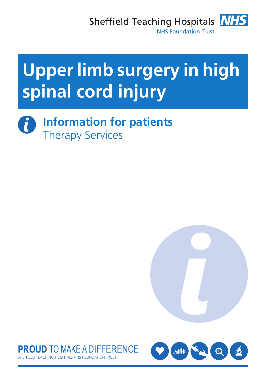

# **Upper limb surgery in high spinal cord injury**

**Information for patients** Ĭ Therapy Services





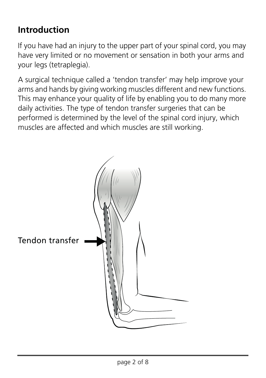#### **Introduction**

If you have had an injury to the upper part of your spinal cord, you may have very limited or no movement or sensation in both your arms and your legs (tetraplegia).

A surgical technique called a 'tendon transfer' may help improve your arms and hands by giving working muscles different and new functions. This may enhance your quality of life by enabling you to do many more daily activities. The type of tendon transfer surgeries that can be performed is determined by the level of the spinal cord injury, which muscles are affected and which muscles are still working.

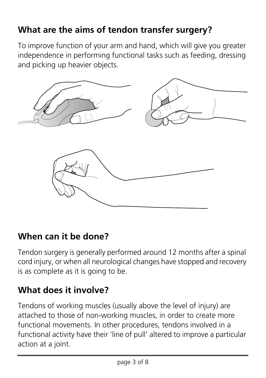# **What are the aims of tendon transfer surgery?**

To improve function of your arm and hand, which will give you greater independence in performing functional tasks such as feeding, dressing and picking up heavier objects.



#### **When can it be done?**

Tendon surgery is generally performed around 12 months after a spinal cord injury, or when all neurological changes have stopped and recovery is as complete as it is going to be.

# **What does it involve?**

Tendons of working muscles (usually above the level of injury) are attached to those of non-working muscles, in order to create more functional movements. In other procedures, tendons involved in a functional activity have their 'line of pull' altered to improve a particular action at a joint.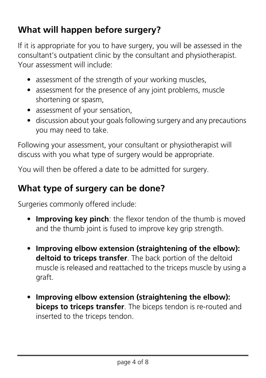# **What will happen before surgery?**

If it is appropriate for you to have surgery, you will be assessed in the consultant's outpatient clinic by the consultant and physiotherapist. Your assessment will include:

- assessment of the strength of your working muscles,
- assessment for the presence of any joint problems, muscle shortening or spasm,
- assessment of your sensation,
- discussion about your goals following surgery and any precautions you may need to take.

Following your assessment, your consultant or physiotherapist will discuss with you what type of surgery would be appropriate.

You will then be offered a date to be admitted for surgery.

#### **What type of surgery can be done?**

Surgeries commonly offered include:

- **Improving key pinch**: the flexor tendon of the thumb is moved and the thumb joint is fused to improve key grip strength.
- **Improving elbow extension (straightening of the elbow): deltoid to triceps transfer**. The back portion of the deltoid muscle is released and reattached to the triceps muscle by using a graft.
- **Improving elbow extension (straightening the elbow): biceps to triceps transfer**. The biceps tendon is re-routed and inserted to the triceps tendon.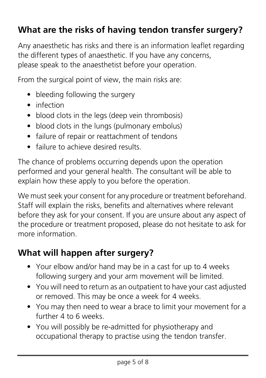#### **What are the risks of having tendon transfer surgery?**

Any anaesthetic has risks and there is an information leaflet regarding the different types of anaesthetic. If you have any concerns, please speak to the anaesthetist before your operation.

From the surgical point of view, the main risks are:

- bleeding following the surgery
- infection
- blood clots in the legs (deep vein thrombosis)
- blood clots in the lungs (pulmonary embolus)
- failure of repair or reattachment of tendons
- failure to achieve desired results.

The chance of problems occurring depends upon the operation performed and your general health. The consultant will be able to explain how these apply to you before the operation.

We must seek your consent for any procedure or treatment beforehand. Staff will explain the risks, benefits and alternatives where relevant before they ask for your consent. If you are unsure about any aspect of the procedure or treatment proposed, please do not hesitate to ask for more information.

#### **What will happen after surgery?**

- Your elbow and/or hand may be in a cast for up to 4 weeks following surgery and your arm movement will be limited.
- You will need to return as an outpatient to have your cast adjusted or removed. This may be once a week for 4 weeks.
- You may then need to wear a brace to limit your movement for a further 4 to 6 weeks.
- You will possibly be re-admitted for physiotherapy and occupational therapy to practise using the tendon transfer.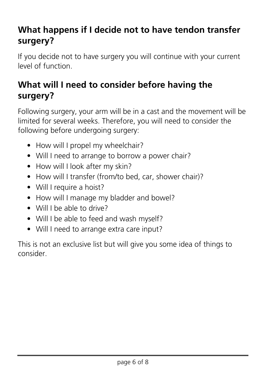## **What happens if I decide not to have tendon transfer surgery?**

If you decide not to have surgery you will continue with your current level of function.

#### **What will I need to consider before having the surgery?**

Following surgery, your arm will be in a cast and the movement will be limited for several weeks. Therefore, you will need to consider the following before undergoing surgery:

- How will I propel my wheelchair?
- Will I need to arrange to borrow a power chair?
- How will I look after my skin?
- How will I transfer (from/to bed, car, shower chair)?
- Will I require a hoist?
- How will I manage my bladder and bowel?
- Will I be able to drive?
- Will I be able to feed and wash myself?
- Will I need to arrange extra care input?

This is not an exclusive list but will give you some idea of things to consider.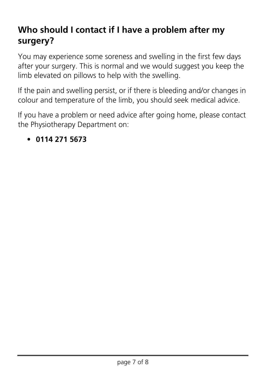# **Who should I contact if I have a problem after my surgery?**

You may experience some soreness and swelling in the first few days after your surgery. This is normal and we would suggest you keep the limb elevated on pillows to help with the swelling.

If the pain and swelling persist, or if there is bleeding and/or changes in colour and temperature of the limb, you should seek medical advice.

If you have a problem or need advice after going home, please contact the Physiotherapy Department on:

#### • **0114 271 5673**